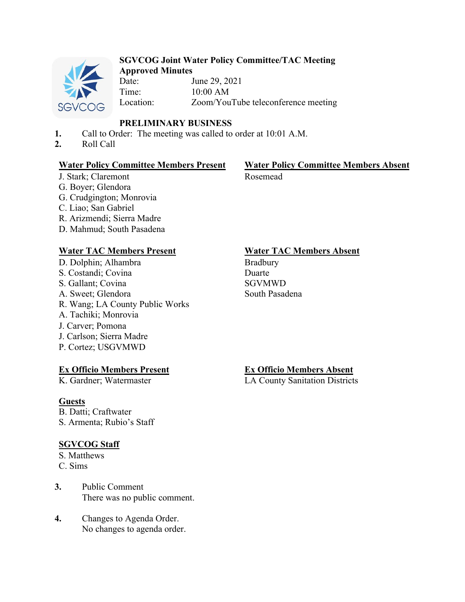

#### **SGVCOG Joint Water Policy Committee/TAC Meeting Approved Minutes**

Date: June 29, 2021 Time: 10:00 AM Location: Zoom/YouTube teleconference meeting

# **PRELIMINARY BUSINESS**

- **1.** Call to Order: The meeting was called to order at 10:01 A.M.
- **2.** Roll Call

### **Water Policy Committee Members Present Water Policy Committee Members Absent**

J. Stark; Claremont G. Boyer; Glendora G. Crudgington; Monrovia C. Liao; San Gabriel R. Arizmendi; Sierra Madre D. Mahmud; South Pasadena

## **Water TAC Members Present Water TAC Members Absent**

D. Dolphin; Alhambra S. Costandi; Covina S. Gallant; Covina A. Sweet; Glendora R. Wang; LA County Public Works A. Tachiki; Monrovia J. Carver; Pomona J. Carlson; Sierra Madre P. Cortez; USGVMWD

### **Ex Officio Members Present**

K. Gardner; Watermaster

# **Guests**

B. Datti; Craftwater S. Armenta; Rubio's Staff

# **SGVCOG Staff**

- S. Matthews
- C. Sims
- **3.** Public Comment There was no public comment.
- **4.** Changes to Agenda Order. No changes to agenda order.

# Rosemead

Bradbury Duarte SGVMWD South Pasadena

# **Ex Officio Members Absent**

LA County Sanitation Districts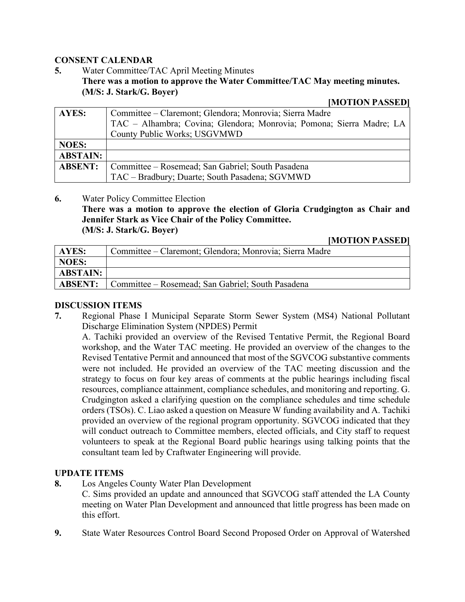#### **CONSENT CALENDAR**

**5.** Water Committee/TAC April Meeting Minutes **There was a motion to approve the Water Committee/TAC May meeting minutes. (M/S: J. Stark/G. Boyer)** 

#### **[MOTION PASSED]**

| AYES:           | Committee – Claremont; Glendora; Monrovia; Sierra Madre              |  |
|-----------------|----------------------------------------------------------------------|--|
|                 | TAC - Alhambra; Covina; Glendora; Monrovia; Pomona; Sierra Madre; LA |  |
|                 | County Public Works; USGVMWD                                         |  |
| <b>NOES:</b>    |                                                                      |  |
| <b>ABSTAIN:</b> |                                                                      |  |
| <b>ABSENT:</b>  | Committee – Rosemead; San Gabriel; South Pasadena                    |  |
|                 | TAC - Bradbury; Duarte; South Pasadena; SGVMWD                       |  |

#### **6.** Water Policy Committee Election

**There was a motion to approve the election of Gloria Crudgington as Chair and Jennifer Stark as Vice Chair of the Policy Committee.** 

**(M/S: J. Stark/G. Boyer)** 

#### **[MOTION PASSED]**

| <b>AYES:</b>    | Committee – Claremont; Glendora; Monrovia; Sierra Madre |  |
|-----------------|---------------------------------------------------------|--|
| NOES:           |                                                         |  |
| <b>ABSTAIN:</b> |                                                         |  |
| <b>ABSENT:</b>  | Committee – Rosemead; San Gabriel; South Pasadena       |  |

#### **DISCUSSION ITEMS**

**7.** Regional Phase I Municipal Separate Storm Sewer System (MS4) National Pollutant Discharge Elimination System (NPDES) Permit

A. Tachiki provided an overview of the Revised Tentative Permit, the Regional Board workshop, and the Water TAC meeting. He provided an overview of the changes to the Revised Tentative Permit and announced that most of the SGVCOG substantive comments were not included. He provided an overview of the TAC meeting discussion and the strategy to focus on four key areas of comments at the public hearings including fiscal resources, compliance attainment, compliance schedules, and monitoring and reporting. G. Crudgington asked a clarifying question on the compliance schedules and time schedule orders (TSOs). C. Liao asked a question on Measure W funding availability and A. Tachiki provided an overview of the regional program opportunity. SGVCOG indicated that they will conduct outreach to Committee members, elected officials, and City staff to request volunteers to speak at the Regional Board public hearings using talking points that the consultant team led by Craftwater Engineering will provide.

### **UPDATE ITEMS**

**8.** Los Angeles County Water Plan Development

C. Sims provided an update and announced that SGVCOG staff attended the LA County meeting on Water Plan Development and announced that little progress has been made on this effort.

**9.** State Water Resources Control Board Second Proposed Order on Approval of Watershed